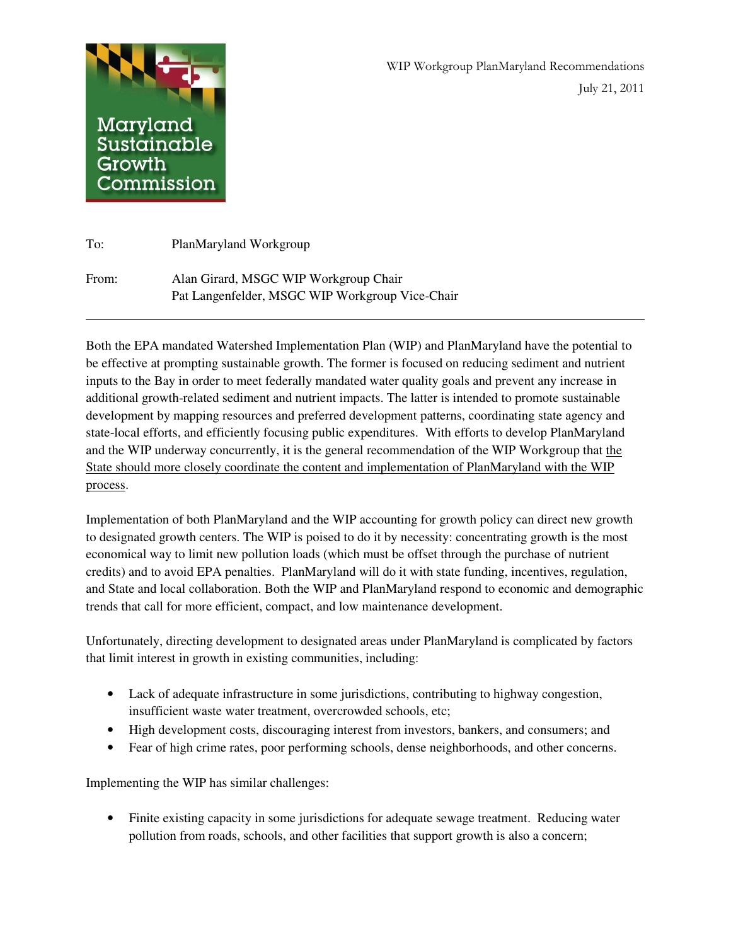

 $\overline{\phantom{a}}$ 

| To:   | PlanMaryland Workgroup                          |
|-------|-------------------------------------------------|
| From: | Alan Girard, MSGC WIP Workgroup Chair           |
|       | Pat Langenfelder, MSGC WIP Workgroup Vice-Chair |

Both the EPA mandated Watershed Implementation Plan (WIP) and PlanMaryland have the potential to be effective at prompting sustainable growth. The former is focused on reducing sediment and nutrient inputs to the Bay in order to meet federally mandated water quality goals and prevent any increase in additional growth-related sediment and nutrient impacts. The latter is intended to promote sustainable development by mapping resources and preferred development patterns, coordinating state agency and state-local efforts, and efficiently focusing public expenditures. With efforts to develop PlanMaryland and the WIP underway concurrently, it is the general recommendation of the WIP Workgroup that the State should more closely coordinate the content and implementation of PlanMaryland with the WIP process.

Implementation of both PlanMaryland and the WIP accounting for growth policy can direct new growth to designated growth centers. The WIP is poised to do it by necessity: concentrating growth is the most economical way to limit new pollution loads (which must be offset through the purchase of nutrient credits) and to avoid EPA penalties. PlanMaryland will do it with state funding, incentives, regulation, and State and local collaboration. Both the WIP and PlanMaryland respond to economic and demographic trends that call for more efficient, compact, and low maintenance development.

Unfortunately, directing development to designated areas under PlanMaryland is complicated by factors that limit interest in growth in existing communities, including:

- Lack of adequate infrastructure in some jurisdictions, contributing to highway congestion, insufficient waste water treatment, overcrowded schools, etc;
- High development costs, discouraging interest from investors, bankers, and consumers; and
- Fear of high crime rates, poor performing schools, dense neighborhoods, and other concerns.

Implementing the WIP has similar challenges:

• Finite existing capacity in some jurisdictions for adequate sewage treatment. Reducing water pollution from roads, schools, and other facilities that support growth is also a concern;